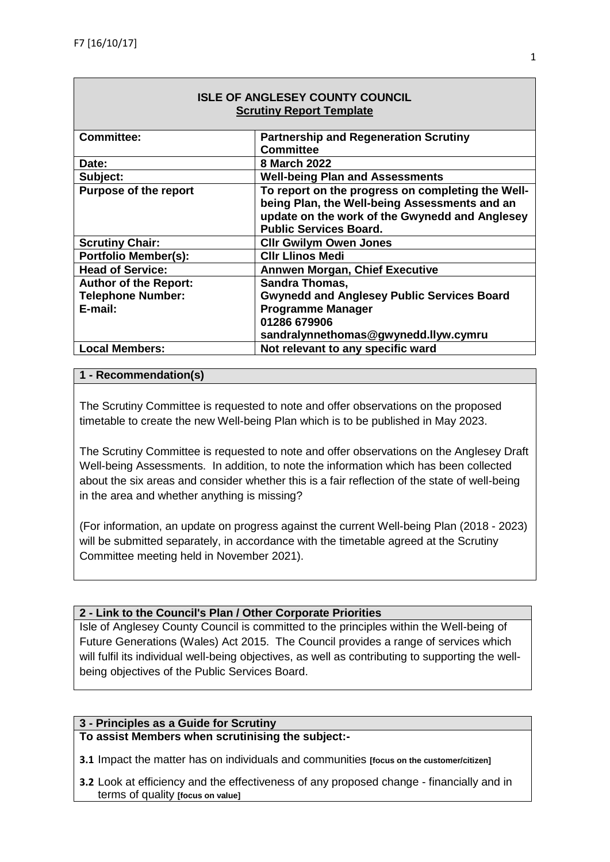| <b>ISLE OF ANGLESEY COUNTY COUNCIL</b> |                                                   |  |  |  |
|----------------------------------------|---------------------------------------------------|--|--|--|
| <b>Scrutiny Report Template</b>        |                                                   |  |  |  |
|                                        |                                                   |  |  |  |
| <b>Committee:</b>                      | <b>Partnership and Regeneration Scrutiny</b>      |  |  |  |
|                                        | <b>Committee</b>                                  |  |  |  |
| Date:                                  | 8 March 2022                                      |  |  |  |
| Subject:                               | <b>Well-being Plan and Assessments</b>            |  |  |  |
| <b>Purpose of the report</b>           | To report on the progress on completing the Well- |  |  |  |
|                                        | being Plan, the Well-being Assessments and an     |  |  |  |
|                                        | update on the work of the Gwynedd and Anglesey    |  |  |  |
|                                        | <b>Public Services Board.</b>                     |  |  |  |
| <b>Scrutiny Chair:</b>                 | <b>Cllr Gwilym Owen Jones</b>                     |  |  |  |
| <b>Portfolio Member(s):</b>            | <b>CIIr Llinos Medi</b>                           |  |  |  |
| <b>Head of Service:</b>                | <b>Annwen Morgan, Chief Executive</b>             |  |  |  |
| <b>Author of the Report:</b>           | <b>Sandra Thomas,</b>                             |  |  |  |
| <b>Telephone Number:</b>               | <b>Gwynedd and Anglesey Public Services Board</b> |  |  |  |
| E-mail:                                | <b>Programme Manager</b>                          |  |  |  |
|                                        | 01286 679906                                      |  |  |  |
|                                        | sandralynnethomas@gwynedd.llyw.cymru              |  |  |  |
| <b>Local Members:</b>                  | Not relevant to any specific ward                 |  |  |  |

# **ISLE OF ANGLESEY COUNTY COUNCIL**

### **1 - Recommendation(s)**

The Scrutiny Committee is requested to note and offer observations on the proposed timetable to create the new Well-being Plan which is to be published in May 2023.

The Scrutiny Committee is requested to note and offer observations on the Anglesey Draft Well-being Assessments. In addition, to note the information which has been collected about the six areas and consider whether this is a fair reflection of the state of well-being in the area and whether anything is missing?

(For information, an update on progress against the current Well-being Plan (2018 - 2023) will be submitted separately, in accordance with the timetable agreed at the Scrutiny Committee meeting held in November 2021).

#### **2 - Link to the Council's Plan / Other Corporate Priorities**

Isle of Anglesey County Council is committed to the principles within the Well-being of Future Generations (Wales) Act 2015. The Council provides a range of services which will fulfil its individual well-being objectives, as well as contributing to supporting the wellbeing objectives of the Public Services Board.

#### **3 - Principles as a Guide for Scrutiny**

**To assist Members when scrutinising the subject:-** 

**3.1** Impact the matter has on individuals and communities **[focus on the customer/citizen]**

**3.2** Look at efficiency and the effectiveness of any proposed change - financially and in terms of quality **[focus on value]**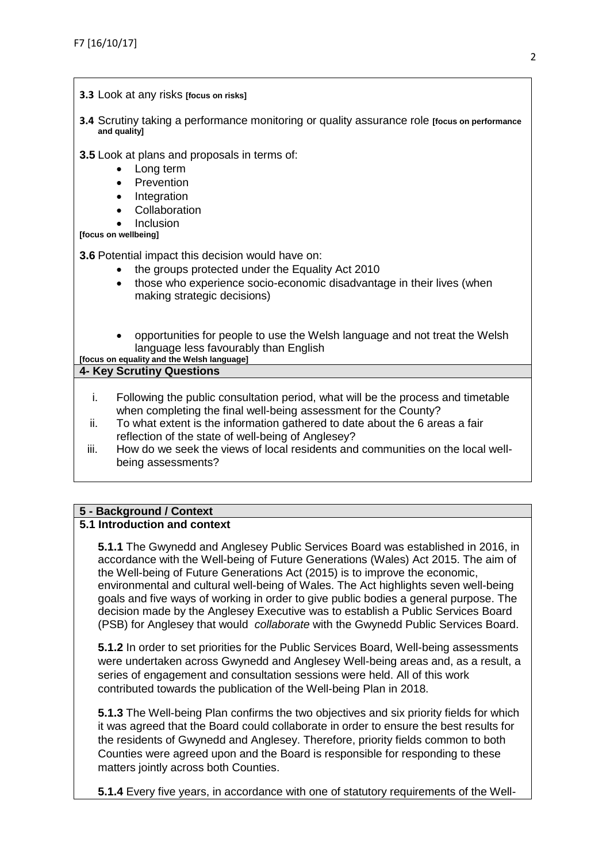- **3.3** Look at any risks **[focus on risks]**
- **3.4** Scrutiny taking a performance monitoring or quality assurance role **[focus on performance and quality]**

**3.5** Look at plans and proposals in terms of:

- Long term
- **Prevention**
- **Integration**
- Collaboration
- Inclusion

**[focus on wellbeing]**

**3.6** Potential impact this decision would have on:

- the groups protected under the Equality Act 2010
- those who experience socio-economic disadvantage in their lives (when making strategic decisions)
- opportunities for people to use the Welsh language and not treat the Welsh language less favourably than English

# **[focus on equality and the Welsh language] 4- Key Scrutiny Questions**  i. Following the public consultation period, what will be the process and timetable when completing the final well-being assessment for the County? ii. To what extent is the information gathered to date about the 6 areas a fair reflection of the state of well-being of Anglesey?

iii. How do we seek the views of local residents and communities on the local wellbeing assessments?

# **5 - Background / Context**

#### **5.1 Introduction and context**

**5.1.1** The Gwynedd and Anglesey Public Services Board was established in 2016, in accordance with the Well-being of Future Generations (Wales) Act 2015. The aim of the Well-being of Future Generations Act (2015) is to improve the economic, environmental and cultural well-being of Wales. The Act highlights seven well-being goals and five ways of working in order to give public bodies a general purpose. The decision made by the Anglesey Executive was to establish a Public Services Board (PSB) for Anglesey that would *collaborate* with the Gwynedd Public Services Board.

**5.1.2** In order to set priorities for the Public Services Board, Well-being assessments were undertaken across Gwynedd and Anglesey Well-being areas and, as a result, a series of engagement and consultation sessions were held. All of this work contributed towards the publication of the Well-being Plan in 2018.

**5.1.3** The Well-being Plan confirms the two objectives and six priority fields for which it was agreed that the Board could collaborate in order to ensure the best results for the residents of Gwynedd and Anglesey. Therefore, priority fields common to both Counties were agreed upon and the Board is responsible for responding to these matters jointly across both Counties.

**5.1.4** Every five years, in accordance with one of statutory requirements of the Well-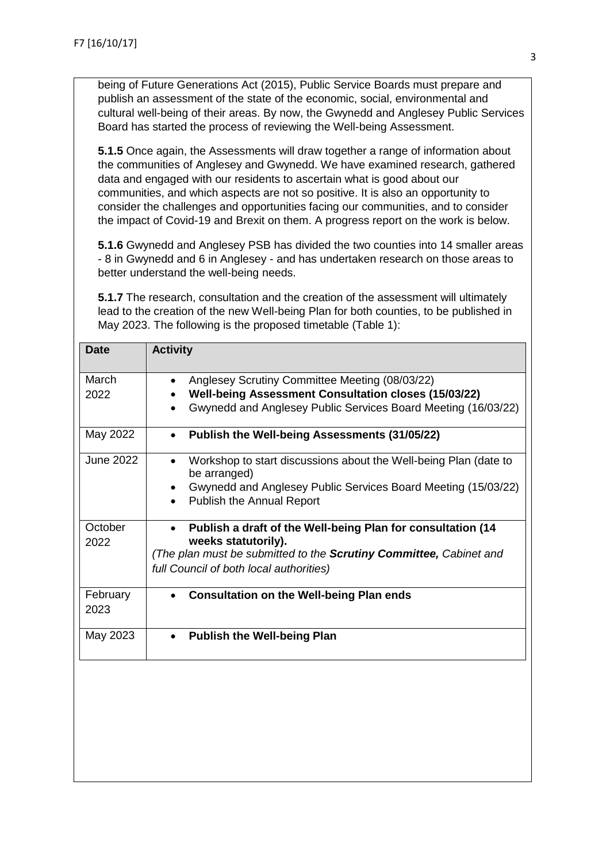being of Future Generations Act (2015), Public Service Boards must prepare and publish an assessment of the state of the economic, social, environmental and cultural well-being of their areas. By now, the Gwynedd and Anglesey Public Services Board has started the process of reviewing the Well-being Assessment.

**5.1.5** Once again, the Assessments will draw together a range of information about the communities of Anglesey and Gwynedd. We have examined research, gathered data and engaged with our residents to ascertain what is good about our communities, and which aspects are not so positive. It is also an opportunity to consider the challenges and opportunities facing our communities, and to consider the impact of Covid-19 and Brexit on them. A progress report on the work is below.

**5.1.6** Gwynedd and Anglesey PSB has divided the two counties into 14 smaller areas - 8 in Gwynedd and 6 in Anglesey - and has undertaken research on those areas to better understand the well-being needs.

**5.1.7** The research, consultation and the creation of the assessment will ultimately lead to the creation of the new Well-being Plan for both counties, to be published in May 2023. The following is the proposed timetable (Table 1):

| <b>Date</b>      | <b>Activity</b>                                                                                                                                                                                                              |  |  |  |
|------------------|------------------------------------------------------------------------------------------------------------------------------------------------------------------------------------------------------------------------------|--|--|--|
| March<br>2022    | Anglesey Scrutiny Committee Meeting (08/03/22)<br>$\bullet$<br>Well-being Assessment Consultation closes (15/03/22)<br>Gwynedd and Anglesey Public Services Board Meeting (16/03/22)                                         |  |  |  |
| May 2022         | Publish the Well-being Assessments (31/05/22)<br>$\bullet$                                                                                                                                                                   |  |  |  |
| <b>June 2022</b> | Workshop to start discussions about the Well-being Plan (date to<br>$\bullet$<br>be arranged)<br>Gwynedd and Anglesey Public Services Board Meeting (15/03/22)<br>$\bullet$<br><b>Publish the Annual Report</b><br>$\bullet$ |  |  |  |
| October<br>2022  | Publish a draft of the Well-being Plan for consultation (14<br>$\bullet$<br>weeks statutorily).<br>(The plan must be submitted to the <b>Scrutiny Committee</b> , Cabinet and<br>full Council of both local authorities)     |  |  |  |
| February<br>2023 | <b>Consultation on the Well-being Plan ends</b>                                                                                                                                                                              |  |  |  |
| May 2023         | <b>Publish the Well-being Plan</b><br>$\bullet$                                                                                                                                                                              |  |  |  |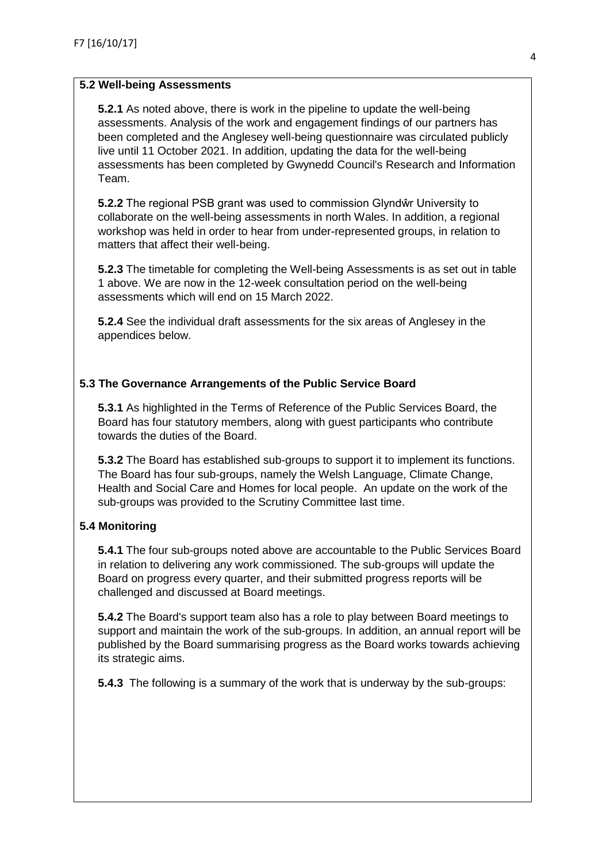#### **5.2 Well-being Assessments**

**5.2.1** As noted above, there is work in the pipeline to update the well-being assessments. Analysis of the work and engagement findings of our partners has been completed and the Anglesey well-being questionnaire was circulated publicly live until 11 October 2021. In addition, updating the data for the well-being assessments has been completed by Gwynedd Council's Research and Information Team.

**5.2.2** The regional PSB grant was used to commission Glyndŵr University to collaborate on the well-being assessments in north Wales. In addition, a regional workshop was held in order to hear from under-represented groups, in relation to matters that affect their well-being.

**5.2.3** The timetable for completing the Well-being Assessments is as set out in table 1 above. We are now in the 12-week consultation period on the well-being assessments which will end on 15 March 2022.

**5.2.4** See the individual draft assessments for the six areas of Anglesey in the appendices below.

#### **5.3 The Governance Arrangements of the Public Service Board**

**5.3.1** As highlighted in the Terms of Reference of the Public Services Board, the Board has four statutory members, along with guest participants who contribute towards the duties of the Board.

**5.3.2** The Board has established sub-groups to support it to implement its functions. The Board has four sub-groups, namely the Welsh Language, Climate Change, Health and Social Care and Homes for local people. An update on the work of the sub-groups was provided to the Scrutiny Committee last time.

#### **5.4 Monitoring**

**5.4.1** The four sub-groups noted above are accountable to the Public Services Board in relation to delivering any work commissioned. The sub-groups will update the Board on progress every quarter, and their submitted progress reports will be challenged and discussed at Board meetings.

**5.4.2** The Board's support team also has a role to play between Board meetings to support and maintain the work of the sub-groups. In addition, an annual report will be published by the Board summarising progress as the Board works towards achieving its strategic aims.

**5.4.3** The following is a summary of the work that is underway by the sub-groups: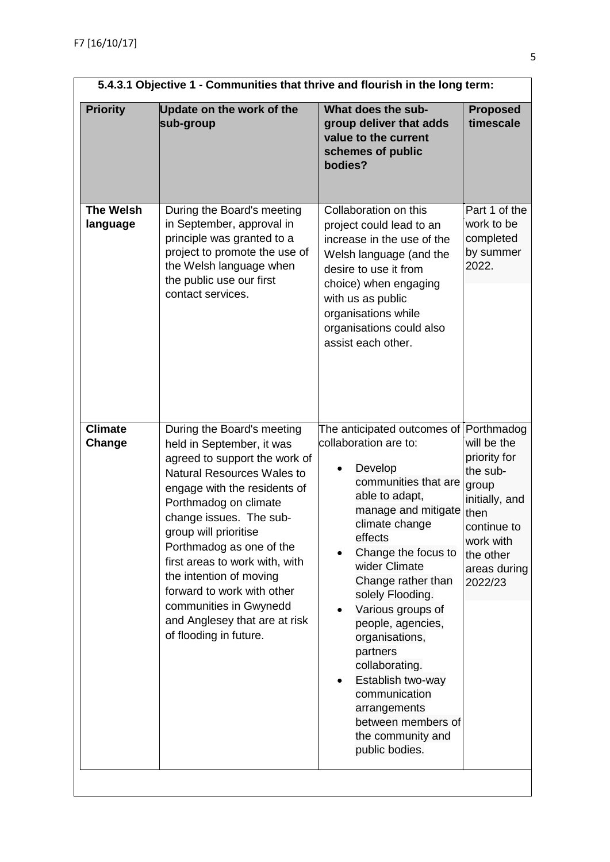| 5.4.3.1 Objective 1 - Communities that thrive and flourish in the long term: |                                                                                                                                                                                                                                                                                                                                                                                                                                                 |                                                                                                                                                                                                                                                                                                                                                                                                                                                                                      |                                                                                                                                                |  |  |
|------------------------------------------------------------------------------|-------------------------------------------------------------------------------------------------------------------------------------------------------------------------------------------------------------------------------------------------------------------------------------------------------------------------------------------------------------------------------------------------------------------------------------------------|--------------------------------------------------------------------------------------------------------------------------------------------------------------------------------------------------------------------------------------------------------------------------------------------------------------------------------------------------------------------------------------------------------------------------------------------------------------------------------------|------------------------------------------------------------------------------------------------------------------------------------------------|--|--|
| <b>Priority</b>                                                              | Update on the work of the<br>sub-group                                                                                                                                                                                                                                                                                                                                                                                                          | What does the sub-<br>group deliver that adds<br>value to the current<br>schemes of public<br>bodies?                                                                                                                                                                                                                                                                                                                                                                                | <b>Proposed</b><br>timescale                                                                                                                   |  |  |
| <b>The Welsh</b><br>language                                                 | During the Board's meeting<br>in September, approval in<br>principle was granted to a<br>project to promote the use of<br>the Welsh language when<br>the public use our first<br>contact services.                                                                                                                                                                                                                                              | Collaboration on this<br>project could lead to an<br>increase in the use of the<br>Welsh language (and the<br>desire to use it from<br>choice) when engaging<br>with us as public<br>organisations while<br>organisations could also<br>assist each other.                                                                                                                                                                                                                           | Part 1 of the<br>work to be<br>completed<br>by summer<br>2022.                                                                                 |  |  |
| <b>Climate</b><br>Change                                                     | During the Board's meeting<br>held in September, it was<br>agreed to support the work of<br>Natural Resources Wales to<br>engage with the residents of<br>Porthmadog on climate<br>change issues. The sub-<br>group will prioritise<br>Porthmadog as one of the<br>first areas to work with, with<br>the intention of moving<br>forward to work with other<br>communities in Gwynedd<br>and Anglesey that are at risk<br>of flooding in future. | The anticipated outcomes of Porthmadog<br>collaboration are to:<br>Develop<br>communities that are<br>able to adapt,<br>manage and mitigate<br>climate change<br>effects<br>Change the focus to<br>wider Climate<br>Change rather than<br>solely Flooding.<br>Various groups of<br>people, agencies,<br>organisations,<br>partners<br>collaborating.<br>Establish two-way<br>$\bullet$<br>communication<br>arrangements<br>between members of<br>the community and<br>public bodies. | will be the<br>priority for<br>the sub-<br>group<br>initially, and<br>then<br>continue to<br>work with<br>the other<br>areas during<br>2022/23 |  |  |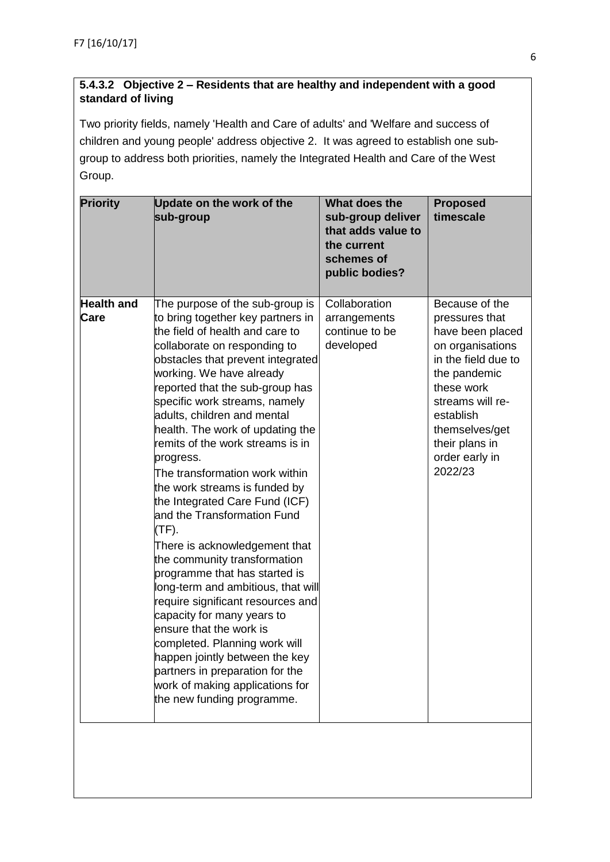## **5.4.3.2 Objective 2 – Residents that are healthy and independent with a good standard of living**

Two priority fields, namely 'Health and Care of adults' and 'Welfare and success of children and young people' address objective 2. It was agreed to establish one subgroup to address both priorities, namely the Integrated Health and Care of the West Group.

| <b>Priority</b>   | Update on the work of the<br>sub-group                                                                                                                                                                                                                                                                                                                                                                                                                                                                                                                                                                                                                                                                                                                                                                                                                                                                                  | What does the<br>sub-group deliver<br>that adds value to<br>the current<br>schemes of<br>public bodies? | <b>Proposed</b><br>timescale                                                                                                                                                                                  |
|-------------------|-------------------------------------------------------------------------------------------------------------------------------------------------------------------------------------------------------------------------------------------------------------------------------------------------------------------------------------------------------------------------------------------------------------------------------------------------------------------------------------------------------------------------------------------------------------------------------------------------------------------------------------------------------------------------------------------------------------------------------------------------------------------------------------------------------------------------------------------------------------------------------------------------------------------------|---------------------------------------------------------------------------------------------------------|---------------------------------------------------------------------------------------------------------------------------------------------------------------------------------------------------------------|
| <b>Health and</b> | The purpose of the sub-group is                                                                                                                                                                                                                                                                                                                                                                                                                                                                                                                                                                                                                                                                                                                                                                                                                                                                                         | Collaboration                                                                                           | Because of the                                                                                                                                                                                                |
| Care              | to bring together key partners in<br>the field of health and care to<br>collaborate on responding to<br>obstacles that prevent integrated<br>working. We have already<br>reported that the sub-group has<br>specific work streams, namely<br>adults, children and mental<br>health. The work of updating the<br>remits of the work streams is in<br>progress.<br>The transformation work within<br>the work streams is funded by<br>the Integrated Care Fund (ICF)<br>and the Transformation Fund<br>(TF).<br>There is acknowledgement that<br>the community transformation<br>programme that has started is<br>long-term and ambitious, that will<br>require significant resources and<br>capacity for many years to<br>ensure that the work is<br>completed. Planning work will<br>happen jointly between the key<br>partners in preparation for the<br>work of making applications for<br>the new funding programme. | arrangements<br>continue to be<br>developed                                                             | pressures that<br>have been placed<br>on organisations<br>in the field due to<br>the pandemic<br>these work<br>streams will re-<br>establish<br>themselves/get<br>their plans in<br>order early in<br>2022/23 |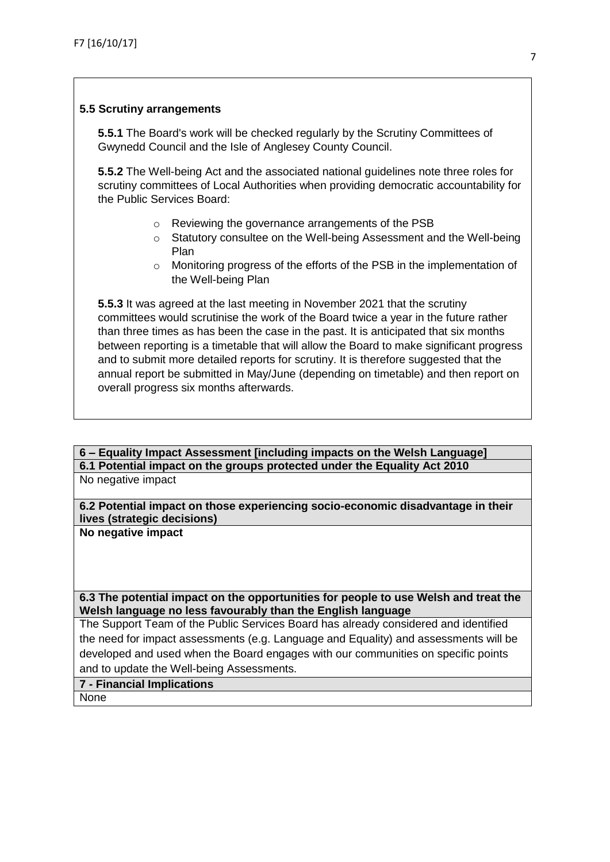#### **5.5 Scrutiny arrangements**

**5.5.1** The Board's work will be checked regularly by the Scrutiny Committees of Gwynedd Council and the Isle of Anglesey County Council.

**5.5.2** The Well-being Act and the associated national guidelines note three roles for scrutiny committees of Local Authorities when providing democratic accountability for the Public Services Board:

- o Reviewing the governance arrangements of the PSB
- o Statutory consultee on the Well-being Assessment and the Well-being Plan
- o Monitoring progress of the efforts of the PSB in the implementation of the Well-being Plan

**5.5.3** It was agreed at the last meeting in November 2021 that the scrutiny committees would scrutinise the work of the Board twice a year in the future rather than three times as has been the case in the past. It is anticipated that six months between reporting is a timetable that will allow the Board to make significant progress and to submit more detailed reports for scrutiny. It is therefore suggested that the annual report be submitted in May/June (depending on timetable) and then report on overall progress six months afterwards.

# **6 – Equality Impact Assessment [including impacts on the Welsh Language] 6.1 Potential impact on the groups protected under the Equality Act 2010**

No negative impact

**6.2 Potential impact on those experiencing socio-economic disadvantage in their lives (strategic decisions)**

**No negative impact**

**6.3 The potential impact on the opportunities for people to use Welsh and treat the Welsh language no less favourably than the English language**

The Support Team of the Public Services Board has already considered and identified the need for impact assessments (e.g. Language and Equality) and assessments will be developed and used when the Board engages with our communities on specific points and to update the Well-being Assessments.

# **7 - Financial Implications**

None